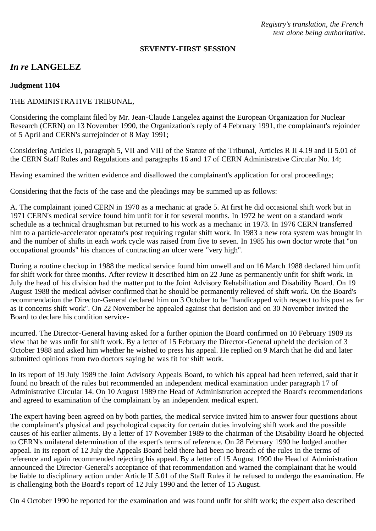*Registry's translation, the French text alone being authoritative.*

#### **SEVENTY-FIRST SESSION**

# *In re* **LANGELEZ**

### **Judgment 1104**

### THE ADMINISTRATIVE TRIBUNAL,

Considering the complaint filed by Mr. Jean-Claude Langelez against the European Organization for Nuclear Research (CERN) on 13 November 1990, the Organization's reply of 4 February 1991, the complainant's rejoinder of 5 April and CERN's surrejoinder of 8 May 1991;

Considering Articles II, paragraph 5, VII and VIII of the Statute of the Tribunal, Articles R II 4.19 and II 5.01 of the CERN Staff Rules and Regulations and paragraphs 16 and 17 of CERN Administrative Circular No. 14;

Having examined the written evidence and disallowed the complainant's application for oral proceedings;

Considering that the facts of the case and the pleadings may be summed up as follows:

A. The complainant joined CERN in 1970 as a mechanic at grade 5. At first he did occasional shift work but in 1971 CERN's medical service found him unfit for it for several months. In 1972 he went on a standard work schedule as a technical draughtsman but returned to his work as a mechanic in 1973. In 1976 CERN transferred him to a particle-accelerator operator's post requiring regular shift work. In 1983 a new rota system was brought in and the number of shifts in each work cycle was raised from five to seven. In 1985 his own doctor wrote that "on occupational grounds" his chances of contracting an ulcer were "very high".

During a routine checkup in 1988 the medical service found him unwell and on 16 March 1988 declared him unfit for shift work for three months. After review it described him on 22 June as permanently unfit for shift work. In July the head of his division had the matter put to the Joint Advisory Rehabilitation and Disability Board. On 19 August 1988 the medical adviser confirmed that he should be permanently relieved of shift work. On the Board's recommendation the Director-General declared him on 3 October to be "handicapped with respect to his post as far as it concerns shift work". On 22 November he appealed against that decision and on 30 November invited the Board to declare his condition service-

incurred. The Director-General having asked for a further opinion the Board confirmed on 10 February 1989 its view that he was unfit for shift work. By a letter of 15 February the Director-General upheld the decision of 3 October 1988 and asked him whether he wished to press his appeal. He replied on 9 March that he did and later submitted opinions from two doctors saying he was fit for shift work.

In its report of 19 July 1989 the Joint Advisory Appeals Board, to which his appeal had been referred, said that it found no breach of the rules but recommended an independent medical examination under paragraph 17 of Administrative Circular 14. On 10 August 1989 the Head of Administration accepted the Board's recommendations and agreed to examination of the complainant by an independent medical expert.

The expert having been agreed on by both parties, the medical service invited him to answer four questions about the complainant's physical and psychological capacity for certain duties involving shift work and the possible causes of his earlier ailments. By a letter of 17 November 1989 to the chairman of the Disability Board he objected to CERN's unilateral determination of the expert's terms of reference. On 28 February 1990 he lodged another appeal. In its report of 12 July the Appeals Board held there had been no breach of the rules in the terms of reference and again recommended rejecting his appeal. By a letter of 15 August 1990 the Head of Administration announced the Director-General's acceptance of that recommendation and warned the complainant that he would be liable to disciplinary action under Article II 5.01 of the Staff Rules if he refused to undergo the examination. He is challenging both the Board's report of 12 July 1990 and the letter of 15 August.

On 4 October 1990 he reported for the examination and was found unfit for shift work; the expert also described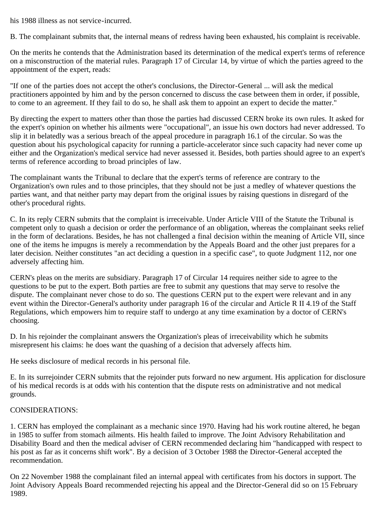his 1988 illness as not service-incurred.

B. The complainant submits that, the internal means of redress having been exhausted, his complaint is receivable.

On the merits he contends that the Administration based its determination of the medical expert's terms of reference on a misconstruction of the material rules. Paragraph 17 of Circular 14, by virtue of which the parties agreed to the appointment of the expert, reads:

"If one of the parties does not accept the other's conclusions, the Director-General ... will ask the medical practitioners appointed by him and by the person concerned to discuss the case between them in order, if possible, to come to an agreement. If they fail to do so, he shall ask them to appoint an expert to decide the matter."

By directing the expert to matters other than those the parties had discussed CERN broke its own rules. It asked for the expert's opinion on whether his ailments were "occupational", an issue his own doctors had never addressed. To slip it in belatedly was a serious breach of the appeal procedure in paragraph 16.1 of the circular. So was the question about his psychological capacity for running a particle-accelerator since such capacity had never come up either and the Organization's medical service had never assessed it. Besides, both parties should agree to an expert's terms of reference according to broad principles of law.

The complainant wants the Tribunal to declare that the expert's terms of reference are contrary to the Organization's own rules and to those principles, that they should not be just a medley of whatever questions the parties want, and that neither party may depart from the original issues by raising questions in disregard of the other's procedural rights.

C. In its reply CERN submits that the complaint is irreceivable. Under Article VIII of the Statute the Tribunal is competent only to quash a decision or order the performance of an obligation, whereas the complainant seeks relief in the form of declarations. Besides, he has not challenged a final decision within the meaning of Article VII, since one of the items he impugns is merely a recommendation by the Appeals Board and the other just prepares for a later decision. Neither constitutes "an act deciding a question in a specific case", to quote Judgment 112, nor one adversely affecting him.

CERN's pleas on the merits are subsidiary. Paragraph 17 of Circular 14 requires neither side to agree to the questions to be put to the expert. Both parties are free to submit any questions that may serve to resolve the dispute. The complainant never chose to do so. The questions CERN put to the expert were relevant and in any event within the Director-General's authority under paragraph 16 of the circular and Article R II 4.19 of the Staff Regulations, which empowers him to require staff to undergo at any time examination by a doctor of CERN's choosing.

D. In his rejoinder the complainant answers the Organization's pleas of irreceivability which he submits misrepresent his claims: he does want the quashing of a decision that adversely affects him.

He seeks disclosure of medical records in his personal file.

E. In its surrejoinder CERN submits that the rejoinder puts forward no new argument. His application for disclosure of his medical records is at odds with his contention that the dispute rests on administrative and not medical grounds.

## CONSIDERATIONS:

1. CERN has employed the complainant as a mechanic since 1970. Having had his work routine altered, he began in 1985 to suffer from stomach ailments. His health failed to improve. The Joint Advisory Rehabilitation and Disability Board and then the medical adviser of CERN recommended declaring him "handicapped with respect to his post as far as it concerns shift work". By a decision of 3 October 1988 the Director-General accepted the recommendation.

On 22 November 1988 the complainant filed an internal appeal with certificates from his doctors in support. The Joint Advisory Appeals Board recommended rejecting his appeal and the Director-General did so on 15 February 1989.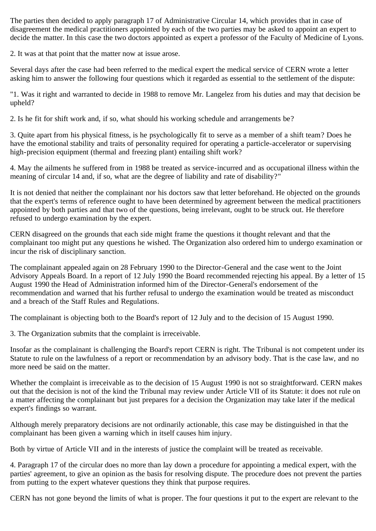The parties then decided to apply paragraph 17 of Administrative Circular 14, which provides that in case of disagreement the medical practitioners appointed by each of the two parties may be asked to appoint an expert to decide the matter. In this case the two doctors appointed as expert a professor of the Faculty of Medicine of Lyons.

2. It was at that point that the matter now at issue arose.

Several days after the case had been referred to the medical expert the medical service of CERN wrote a letter asking him to answer the following four questions which it regarded as essential to the settlement of the dispute:

"1. Was it right and warranted to decide in 1988 to remove Mr. Langelez from his duties and may that decision be upheld?

2. Is he fit for shift work and, if so, what should his working schedule and arrangements be?

3. Quite apart from his physical fitness, is he psychologically fit to serve as a member of a shift team? Does he have the emotional stability and traits of personality required for operating a particle-accelerator or supervising high-precision equipment (thermal and freezing plant) entailing shift work?

4. May the ailments he suffered from in 1988 be treated as service-incurred and as occupational illness within the meaning of circular 14 and, if so, what are the degree of liability and rate of disability?"

It is not denied that neither the complainant nor his doctors saw that letter beforehand. He objected on the grounds that the expert's terms of reference ought to have been determined by agreement between the medical practitioners appointed by both parties and that two of the questions, being irrelevant, ought to be struck out. He therefore refused to undergo examination by the expert.

CERN disagreed on the grounds that each side might frame the questions it thought relevant and that the complainant too might put any questions he wished. The Organization also ordered him to undergo examination or incur the risk of disciplinary sanction.

The complainant appealed again on 28 February 1990 to the Director-General and the case went to the Joint Advisory Appeals Board. In a report of 12 July 1990 the Board recommended rejecting his appeal. By a letter of 15 August 1990 the Head of Administration informed him of the Director-General's endorsement of the recommendation and warned that his further refusal to undergo the examination would be treated as misconduct and a breach of the Staff Rules and Regulations.

The complainant is objecting both to the Board's report of 12 July and to the decision of 15 August 1990.

3. The Organization submits that the complaint is irreceivable.

Insofar as the complainant is challenging the Board's report CERN is right. The Tribunal is not competent under its Statute to rule on the lawfulness of a report or recommendation by an advisory body. That is the case law, and no more need be said on the matter.

Whether the complaint is irreceivable as to the decision of 15 August 1990 is not so straightforward. CERN makes out that the decision is not of the kind the Tribunal may review under Article VII of its Statute: it does not rule on a matter affecting the complainant but just prepares for a decision the Organization may take later if the medical expert's findings so warrant.

Although merely preparatory decisions are not ordinarily actionable, this case may be distinguished in that the complainant has been given a warning which in itself causes him injury.

Both by virtue of Article VII and in the interests of justice the complaint will be treated as receivable.

4. Paragraph 17 of the circular does no more than lay down a procedure for appointing a medical expert, with the parties' agreement, to give an opinion as the basis for resolving dispute. The procedure does not prevent the parties from putting to the expert whatever questions they think that purpose requires.

CERN has not gone beyond the limits of what is proper. The four questions it put to the expert are relevant to the